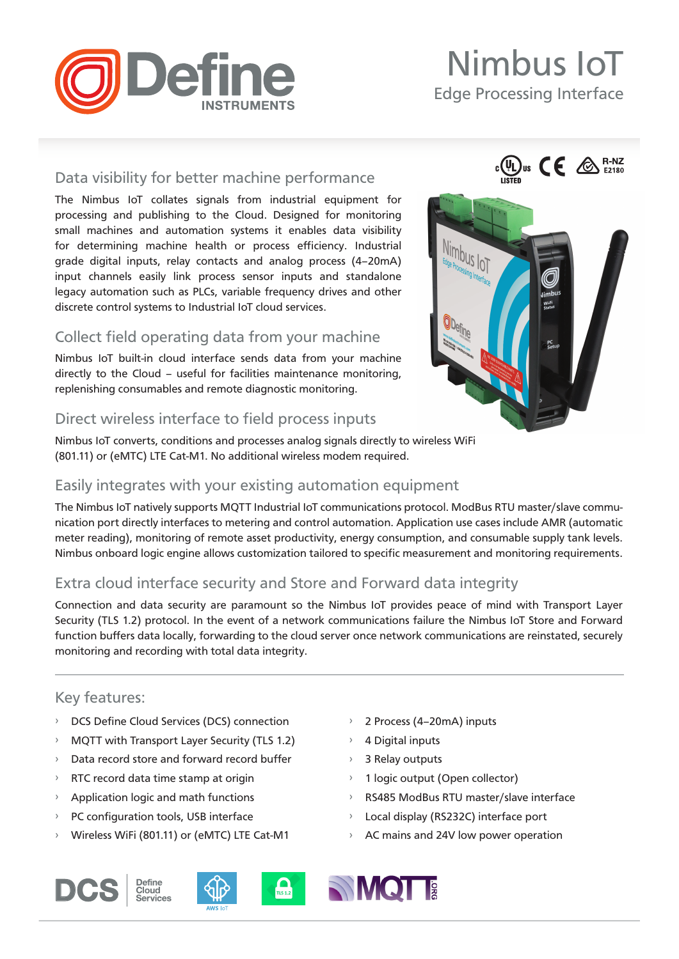

# Nimbus IoT

 $\mathbb{C}$   $\mathbb{C}$   $\mathbb{C}$   $\mathbb{C}$   $\mathbb{C}$ 

Edge Processing Interface

# Data visibility for better machine performance

The Nimbus IoT collates signals from industrial equipment for processing and publishing to the Cloud. Designed for monitoring small machines and automation systems it enables data visibility for determining machine health or process efficiency. Industrial grade digital inputs, relay contacts and analog process (4–20mA) input channels easily link process sensor inputs and standalone legacy automation such as PLCs, variable frequency drives and other discrete control systems to Industrial IoT cloud services.

# Collect field operating data from your machine

Nimbus IoT built-in cloud interface sends data from your machine directly to the Cloud – useful for facilities maintenance monitoring, replenishing consumables and remote diagnostic monitoring.

# Direct wireless interface to field process inputs

Nimbus IoT converts, conditions and processes analog signals directly to wireless WiFi (801.11) or (eMTC) LTE Cat-M1. No additional wireless modem required.

# Easily integrates with your existing automation equipment

The Nimbus IoT natively supports MQTT Industrial IoT communications protocol. ModBus RTU master/slave communication port directly interfaces to metering and control automation. Application use cases include AMR (automatic meter reading), monitoring of remote asset productivity, energy consumption, and consumable supply tank levels. Nimbus onboard logic engine allows customization tailored to specific measurement and monitoring requirements.

# Extra cloud interface security and Store and Forward data integrity

Connection and data security are paramount so the Nimbus IoT provides peace of mind with Transport Layer Security (TLS 1.2) protocol. In the event of a network communications failure the Nimbus IoT Store and Forward function buffers data locally, forwarding to the cloud server once network communications are reinstated, securely monitoring and recording with total data integrity.

# Key features:

- › DCS Define Cloud Services (DCS) connection
- › MQTT with Transport Layer Security (TLS 1.2)
- › Data record store and forward record buffer
- › RTC record data time stamp at origin
- › Application logic and math functions
- › PC configuration tools, USB interface
- › Wireless WiFi (801.11) or (eMTC) LTE Cat-M1
- 2 Process (4-20mA) inputs
- › 4 Digital inputs
- › 3 Relay outputs
- › 1 logic output (Open collector)
- › RS485 ModBus RTU master/slave interface
- › Local display (RS232C) interface port
- › AC mains and 24V low power operation









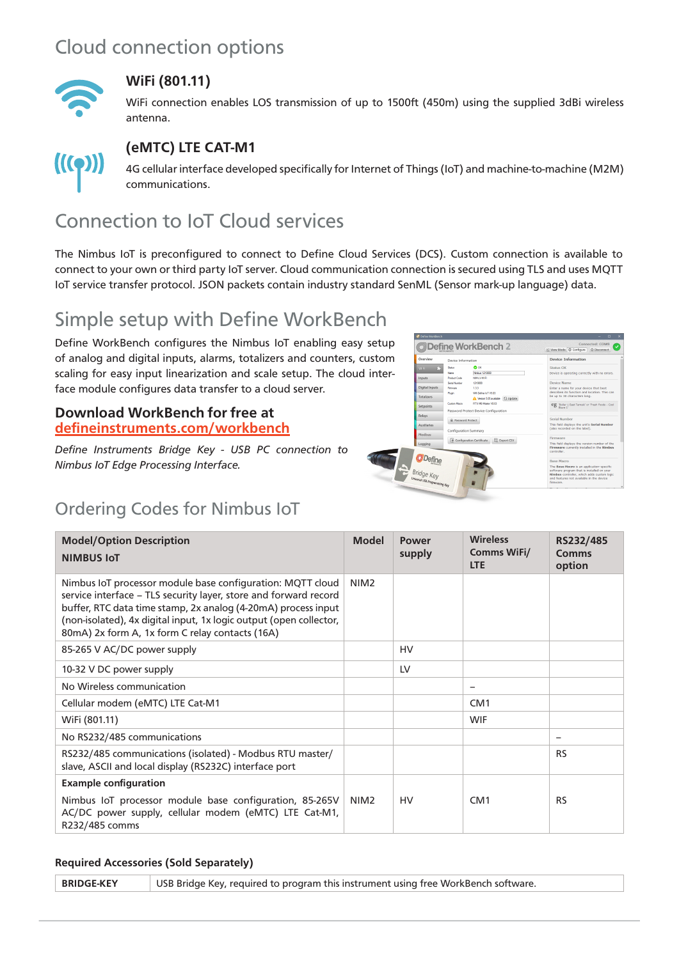# Cloud connection options



## **WiFi (801.11)**

WiFi connection enables LOS transmission of up to 1500ft (450m) using the supplied 3dBi wireless antenna.



# **(eMTC) LTE CAT-M1**

4G cellular interface developed specifically for Internet of Things (IoT) and machine-to-machine (M2M) communications.

# Connection to IoT Cloud services

The Nimbus IoT is preconfigured to connect to Define Cloud Services (DCS). Custom connection is available to connect to your own or third party IoT server. Cloud communication connection is secured using TLS and uses MQTT IoT service transfer protocol. JSON packets contain industry standard SenML (Sensor mark-up language) data.

# Simple setup with Define WorkBench

Define WorkBench configures the Nimbus IoT enabling easy setup of analog and digital inputs, alarms, totalizers and counters, custom scaling for easy input linearization and scale setup. The cloud interface module configures data transfer to a cloud server.

### **Download WorkBench for free at [defineinstruments.com/workbench](http://defineinstruments.com/workbench)**

*Define Instruments Bridge Key - USB PC connection to Nimbus IoT Edge Processing Interface.*



# Ordering Codes for Nimbus IoT

| <b>Model/Option Description</b><br><b>NIMBUS IOT</b>                                                                                                                                                                                                                                                                     | <b>Model</b>     | <b>Power</b><br>supply | <b>Wireless</b><br><b>Comms WiFi/</b><br><b>LTE</b> | RS232/485<br><b>Comms</b><br>option |
|--------------------------------------------------------------------------------------------------------------------------------------------------------------------------------------------------------------------------------------------------------------------------------------------------------------------------|------------------|------------------------|-----------------------------------------------------|-------------------------------------|
| Nimbus IoT processor module base configuration: MQTT cloud<br>service interface - TLS security layer, store and forward record<br>buffer, RTC data time stamp, 2x analog (4-20mA) process input<br>(non-isolated), 4x digital input, 1x logic output (open collector,<br>80mA) 2x form A, 1x form C relay contacts (16A) | NIM <sub>2</sub> |                        |                                                     |                                     |
| 85-265 V AC/DC power supply                                                                                                                                                                                                                                                                                              |                  | HV                     |                                                     |                                     |
| 10-32 V DC power supply                                                                                                                                                                                                                                                                                                  |                  | LV                     |                                                     |                                     |
| No Wireless communication                                                                                                                                                                                                                                                                                                |                  |                        | $\overline{\phantom{0}}$                            |                                     |
| Cellular modem (eMTC) LTE Cat-M1                                                                                                                                                                                                                                                                                         |                  |                        | CM <sub>1</sub>                                     |                                     |
| WiFi (801.11)                                                                                                                                                                                                                                                                                                            |                  |                        | <b>WIF</b>                                          |                                     |
| No RS232/485 communications                                                                                                                                                                                                                                                                                              |                  |                        |                                                     | $\qquad \qquad -$                   |
| RS232/485 communications (isolated) - Modbus RTU master/<br>slave, ASCII and local display (RS232C) interface port                                                                                                                                                                                                       |                  |                        |                                                     | <b>RS</b>                           |
| <b>Example configuration</b>                                                                                                                                                                                                                                                                                             |                  |                        |                                                     |                                     |
| Nimbus IoT processor module base configuration, 85-265V<br>AC/DC power supply, cellular modem (eMTC) LTE Cat-M1,<br>R232/485 comms                                                                                                                                                                                       | NIM <sub>2</sub> | HV                     | CM <sub>1</sub>                                     | <b>RS</b>                           |

### **Required Accessories (Sold Separately)**

**BRIDGE-KEY** USB Bridge Key, required to program this instrument using free WorkBench software.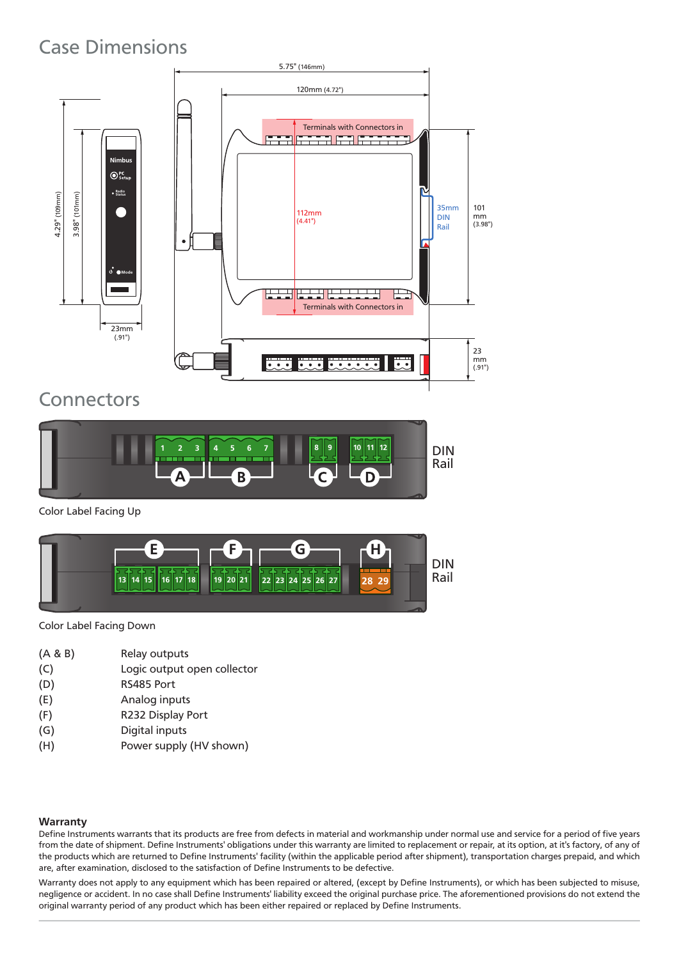# Case Dimensions



# **Connectors**

![](_page_2_Figure_3.jpeg)

Color Label Facing Up

![](_page_2_Figure_5.jpeg)

Color Label Facing Down

- (A & B) Relay outputs
- (C) Logic output open collector
- (D) RS485 Port
- (E) Analog inputs
- (F) R232 Display Port
- (G) Digital inputs
- (H) Power supply (HV shown)

### **Warranty**

Define Instruments warrants that its products are free from defects in material and workmanship under normal use and service for a period of five years from the date of shipment. Define Instruments' obligations under this warranty are limited to replacement or repair, at its option, at it's factory, of any of the products which are returned to Define Instruments' facility (within the applicable period after shipment), transportation charges prepaid, and which are, after examination, disclosed to the satisfaction of Define Instruments to be defective.

Warranty does not apply to any equipment which has been repaired or altered, (except by Define Instruments), or which has been subjected to misuse, negligence or accident. In no case shall Define Instruments' liability exceed the original purchase price. The aforementioned provisions do not extend the original warranty period of any product which has been either repaired or replaced by Define Instruments.